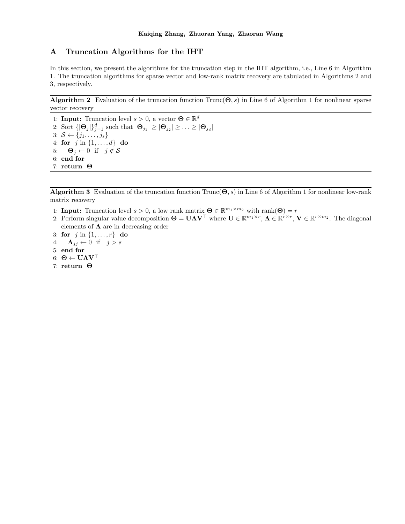## A Truncation Algorithms for the IHT

In this section, we present the algorithms for the truncation step in the IHT algorithm, i.e., Line 6 in Algorithm 1. The truncation algorithms for sparse vector and low-rank matrix recovery are tabulated in Algorithms 2 and 3, respectively.

Algorithm 2 Evaluation of the truncation function  $Trunc(\Theta, s)$  in Line 6 of Algorithm 1 for nonlinear sparse vector recovery

1: **Input:** Truncation level  $s > 0$ , a vector  $\mathbf{\Theta} \in \mathbb{R}^d$ 2: Sort  $\{|\mathbf{\Theta}_j|\}_{j=1}^d$  such that  $|\mathbf{\Theta}_{j_1}| \geq |\mathbf{\Theta}_{j_2}| \geq \ldots \geq |\mathbf{\Theta}_{j_d}|$ 3:  $S \leftarrow \{j_1, \ldots, j_s\}$ 4: for  $j$  in  $\{1, ..., d\}$  do 5:  $\Theta_j \leftarrow 0$  if  $j \notin S$ 6: end for 7: return Θ

**Algorithm 3** Evaluation of the truncation function  $Trunc(\Theta, s)$  in Line 6 of Algorithm 1 for nonlinear low-rank matrix recovery

- 1: **Input:** Truncation level  $s > 0$ , a low rank matrix  $\mathbf{\Theta} \in \mathbb{R}^{m_1 \times m_2}$  with rank $(\mathbf{\Theta}) = r$
- 2: Perform singular value decomposition  $\Theta = \mathbf{U}\mathbf{\Lambda}\mathbf{V}^{\top}$  where  $\mathbf{U} \in \mathbb{R}^{m_1 \times r}$ ,  $\mathbf{\Lambda} \in \mathbb{R}^{r \times r}$ ,  $\mathbf{V} \in \mathbb{R}^{r \times m_2}$ . The diagonal elements of  $\Lambda$  are in decreasing order
- 3: for  $j$  in  $\{1, ..., r\}$  do
- 4:  $\mathbf{\Lambda}_{jj} \leftarrow 0$  if  $j > s$
- 5: end for
- 6: Θ ←  $U\Lambda V^{\top}$
- 7: return Θ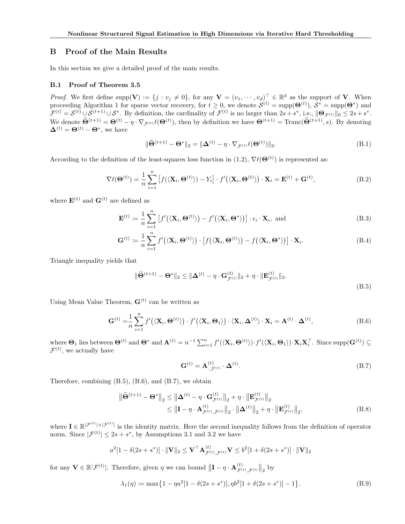## B Proof of the Main Results

In this section we give a detailed proof of the main results.

## B.1 Proof of Theorem 3.5

*Proof.* We first define supp $(\mathbf{V}) := \{j : v_j \neq 0\}$ , for any  $\mathbf{V} = (v_1, \dots, v_d)^\top \in \mathbb{R}^d$  as the support of **V**. When proceeding Algorithm 1 for sparse vector recovery, for  $t \geq 0$ , we denote  $\mathcal{S}^{(t)} = \text{supp}(\mathbf{\Theta}^{(t)})$ ,  $\mathcal{S}^* = \text{supp}(\mathbf{\Theta}^*)$  and  $\mathcal{F}^{(t)} = \mathcal{S}^{(t)} \cup \mathcal{S}^{(t+1)} \cup \mathcal{S}^*$ . By definition, the cardinality of  $\mathcal{F}^{(t)}$  is no larger than  $2s + s^*$ , i.e.,  $\|\mathbf{\Theta}_{\mathcal{F}^{(t)}}\|_0 \leq 2s + s^*$ . We denote  $\hat{\mathbf{\Theta}}^{(t+1)} = \mathbf{\Theta}^{(t)} - \eta \cdot \nabla_{\mathcal{F}^{(t)}} \ell(\mathbf{\Theta}^{(t)}),$  then by definition we have  $\mathbf{\Theta}^{(t+1)} = \text{Trunc}(\hat{\mathbf{\Theta}}^{(t+1)}, s)$ . By denoting  $\mathbf{\Delta}^{(t)}=\mathbf{\Theta}^{(t)}-\mathbf{\Theta}^{*}$ , we have

$$
\|\widetilde{\Theta}^{(t+1)} - \Theta^*\|_2 = \|\Delta^{(t)} - \eta \cdot \nabla_{\mathcal{F}^{(t)}} \ell(\Theta^{(t)})\|_2.
$$
\n(B.1)

According to the definition of the least-squares loss function in (1.2),  $\nabla \ell(\mathbf{\Theta}^{(t)})$  is represented as:

$$
\nabla \ell(\mathbf{\Theta}^{(t)}) = \frac{1}{n} \sum_{i=1}^{n} \left[ f(\langle \mathbf{X}_i, \mathbf{\Theta}^{(t)} \rangle) - Y_i \right] \cdot f'(\langle \mathbf{X}_i, \mathbf{\Theta}^{(t)} \rangle) \cdot \mathbf{X}_i = \mathbf{E}^{(t)} + \mathbf{G}^{(t)},
$$
(B.2)

where  $\mathbf{E}^{(t)}$  and  $\mathbf{G}^{(t)}$  are defined as

$$
\mathbf{E}^{(t)} := \frac{1}{n} \sum_{i=1}^{n} \left[ f'(\langle \mathbf{X}_i, \Theta^{(t)} \rangle) - f'(\langle \mathbf{X}_i, \Theta^* \rangle) \right] \cdot \epsilon_i \cdot \mathbf{X}_i, \text{ and}
$$
(B.3)

$$
\mathbf{G}^{(t)} \coloneqq \frac{1}{n} \sum_{i=1}^{n} f'(\langle \mathbf{X}_i, \mathbf{\Theta}^{(t)} \rangle) \cdot \left[ f(\langle \mathbf{X}_i, \mathbf{\Theta}^{(t)} \rangle) - f(\langle \mathbf{X}_i, \mathbf{\Theta}^* \rangle) \right] \cdot \mathbf{X}_i.
$$
 (B.4)

Triangle inequality yields that

$$
\|\widetilde{\Theta}^{(t+1)} - \Theta^*\|_2 \le \|\Delta^{(t)} - \eta \cdot \mathbf{G}_{\mathcal{F}^{(t)}}^{(t)}\|_2 + \eta \cdot \|\mathbf{E}_{\mathcal{F}^{(t)}}^{(t)}\|_2.
$$
\n(B.5)

Using Mean Value Theorem,  $\mathbf{G}^{(t)}$  can be written as

$$
\mathbf{G}^{(t)} = \frac{1}{n} \sum_{i=1}^{n} f'(\langle \mathbf{X}_i, \Theta^{(t)} \rangle) \cdot f'(\langle \mathbf{X}_i, \Theta_1 \rangle) \cdot \langle \mathbf{X}_i, \Delta^{(t)} \rangle \cdot \mathbf{X}_i = \mathbf{A}^{(t)} \cdot \Delta^{(t)},
$$
(B.6)

where  $\mathbf{\Theta}_1$  lies between  $\mathbf{\Theta}^{(t)}$  and  $\mathbf{\Theta}^*$  and  $\mathbf{A}^{(t)} = n^{-1} \sum_{i=1}^n f'(\langle \mathbf{X}_i, \mathbf{\Theta}^{(t)} \rangle) \cdot f'(\langle \mathbf{X}_i, \mathbf{\Theta}_1 \rangle) \cdot \mathbf{X}_i \mathbf{X}_i^{\top}$ . Since supp $(\mathbf{G}^{(t)}) \subseteq$  $\mathcal{F}^{(t)}$ , we actually have

$$
\mathbf{G}^{(t)} = \mathbf{A}^{(t)}_{\cdot, \mathcal{F}^{(t)}} \cdot \mathbf{\Delta}^{(t)}.\tag{B.7}
$$

Therefore, combining (B.5), (B.6), and (B.7), we obtain

$$
\|\widetilde{\Theta}^{(t+1)} - \Theta^*\|_2 \le \|\Delta^{(t)} - \eta \cdot \mathbf{G}_{\mathcal{F}^{(t)}}^{(t)}\|_2 + \eta \cdot \|\mathbf{E}_{\mathcal{F}^{(t)}}^{(t)}\|_2
$$
  
\n
$$
\le \|\mathbf{I} - \eta \cdot \mathbf{A}_{\mathcal{F}^{(t)},\mathcal{F}^{(t)}}^{(t)}\|_2 \cdot \|\mathbf{\Delta}^{(t)}\|_2 + \eta \cdot \|\mathbf{E}_{\mathcal{F}^{(t)}}^{(t)}\|_2, \tag{B.8}
$$

where  $I \in \mathbb{R}^{|\mathcal{F}^{(t)}| \times |\mathcal{F}^{(t)}|}$  is the identity matrix. Here the second inequality follows from the definition of operator norm. Since  $|\mathcal{F}^{(t)}| \leq 2s + s^*$ , by Assumptions 3.1 and 3.2 we have

$$
a^2[1 - \delta(2s + s^*)] \cdot ||\mathbf{V}||_2 \leq \mathbf{V}^\top \mathbf{A}_{\mathcal{F}^{(t)}, \mathcal{F}^{(t)}}^{(t)} \mathbf{V} \leq b^2[1 + \delta(2s + s^*)] \cdot ||\mathbf{V}||_2
$$

for any  $\mathbf{V} \in \mathbb{R}^{|\mathcal{F}^{(t)}|}$ . Therefore, given  $\eta$  we can bound  $\|\mathbf{I} - \eta \cdot \mathbf{A}_{\mathcal{F}^{(t)}}^{(t)}\|$  $\left\| \frac{f(t)}{\mathcal{F}^{(t)},\mathcal{F}^{(t)}} \right\|_2$  by

$$
\lambda_1(\eta) := \max\left\{1 - \eta a^2 [1 - \delta(2s + s^*)], \eta b^2 [1 + \delta(2s + s^*)] - 1\right\}.
$$
 (B.9)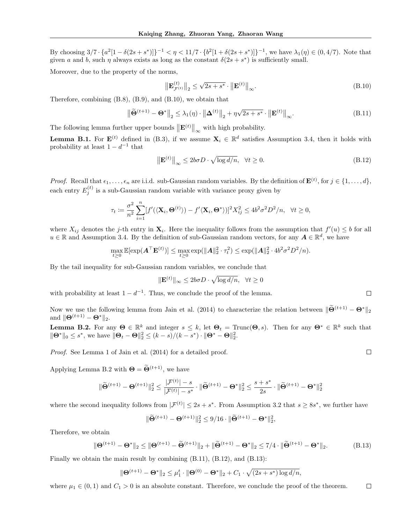By choosing  $3/7 \cdot \{a^2[1-\delta(2s+s^*)]\}^{-1} < \eta < 11/7 \cdot \{b^2[1+\delta(2s+s^*)]\}^{-1}$ , we have  $\lambda_1(\eta) \in (0, 4/7)$ . Note that given a and b, such  $\eta$  always exists as long as the constant  $\delta(2s + s^*)$  is sufficiently small.

Moreover, due to the property of the norms,

$$
\left\| \mathbf{E}_{\mathcal{F}^{(t)}}^{(t)} \right\|_{2} \leq \sqrt{2s + s^*} \cdot \left\| \mathbf{E}^{(t)} \right\|_{\infty}.
$$
\n(B.10)

Therefore, combining (B.8), (B.9), and (B.10), we obtain that

$$
\left\|\widetilde{\Theta}^{(t+1)} - \Theta^*\right\|_2 \le \lambda_1(\eta) \cdot \left\|\Delta^{(t)}\right\|_2 + \eta\sqrt{2s + s^*} \cdot \left\|\mathbf{E}^{(t)}\right\|_{\infty}.
$$
\n(B.11)

The following lemma further upper bounds  $\|\mathbf{E}^{(t)}\|_{\infty}$  with high probability.

**Lemma B.1.** For  $\mathbf{E}^{(t)}$  defined in (B.3), if we assume  $\mathbf{X}_i \in \mathbb{R}^d$  satisfies Assumption 3.4, then it holds with probability at least  $1 - d^{-1}$  that

$$
\left\| \mathbf{E}^{(t)} \right\|_{\infty} \le 2b\sigma D \cdot \sqrt{\log d/n}, \quad \forall t \ge 0.
$$
\n(B.12)

*Proof.* Recall that  $\epsilon_1, \ldots, \epsilon_n$  are i.i.d. sub-Gaussian random variables. By the definition of  $\mathbf{E}^{(t)}$ , for  $j \in \{1, \ldots, d\}$ , each entry  $E_j^{(t)}$  is a sub-Gaussian random variable with variance proxy given by

$$
\tau_t \coloneqq \frac{\sigma^2}{n^2} \sum_{i=1}^n [f'(\langle \mathbf{X}_i, \mathbf{\Theta}^{(t)} \rangle) - f' \langle \mathbf{X}_i, \mathbf{\Theta}^* \rangle ]^2 X_{ij}^2 \le 4b^2 \sigma^2 D^2/n, \quad \forall t \ge 0,
$$

where  $X_{ij}$  denotes the j-th entry in  $\mathbf{X}_i$ . Here the inequality follows from the assumption that  $f'(u) \leq b$  for all  $u \in \mathbb{R}$  and Assumption 3.4. By the definition of sub-Gaussian random vectors, for any  $\mathbf{A} \in \mathbb{R}^d$ , we have

$$
\max_{t \geq 0} \mathbb{E}[\exp(\mathbf{A}^\top \mathbf{E}^{(t)})] \leq \max_{t \geq 0} \exp(\|\mathbf{A}\|_2^2 \cdot \tau_t^2) \leq \exp(\|\mathbf{A}\|_2^2 \cdot 4b^2 \sigma^2 D^2/n).
$$

By the tail inequality for sub-Gaussian random variables, we conclude that

$$
\|\mathbf{E}^{(t)}\|_{\infty} \le 2b\sigma D \cdot \sqrt{\log d/n}, \quad \forall t \ge 0
$$

with probability at least  $1 - d^{-1}$ . Thus, we conclude the proof of the lemma.

Now we use the following lemma from Jain et al. (2014) to characterize the relation between  $\|\widetilde{\Theta}^{(t+1)} - \Theta^*\|_2$ and  $\|\Theta^{(t+1)} - \Theta^*\|_2$ .

**Lemma B.2.** For any  $\Theta \in \mathbb{R}^k$  and integer  $s \leq k$ , let  $\Theta_t = \text{Trunc}(\Theta, s)$ . Then for any  $\Theta^* \in \mathbb{R}^k$  such that  $\|\mathbf{\Theta}^*\|_0 \leq s^*$ , we have  $\|\mathbf{\Theta}_t - \mathbf{\Theta}\|_2^2 \leq (k-s)/(k-s^*) \cdot \|\mathbf{\Theta}^* - \mathbf{\Theta}\|_2^2$ .

Proof. See Lemma 1 of Jain et al. (2014) for a detailed proof.

Applying Lemma B.2 with  $\mathbf{\Theta} = \widetilde{\mathbf{\Theta}}^{(t+1)}$ , we have

$$
\|\widetilde{\Theta}^{(t+1)} - \Theta^{(t+1)}\|_2^2 \leq \frac{|\mathcal{F}^{(t)}| - s}{|\mathcal{F}^{(t)}| - s^*} \cdot \|\widetilde{\Theta}^{(t+1)} - \Theta^*\|_2^2 \leq \frac{s + s^*}{2s} \cdot \|\widetilde{\Theta}^{(t+1)} - \Theta^*\|_2^2
$$

where the second inequality follows from  $|\mathcal{F}^{(t)}| \leq 2s + s^*$ . From Assumption 3.2 that  $s \geq 8s^*$ , we further have

$$
\|\widetilde{\Theta}^{(t+1)} - \Theta^{(t+1)}\|_2^2 \leq 9/16 \cdot \|\widetilde{\Theta}^{(t+1)} - \Theta^*\|_2^2,
$$

Therefore, we obtain

$$
\|\Theta^{(t+1)} - \Theta^*\|_2 \le \|\Theta^{(t+1)} - \widetilde{\Theta}^{(t+1)}\|_2 + \|\widetilde{\Theta}^{(t+1)} - \Theta^*\|_2 \le 7/4 \cdot \|\widetilde{\Theta}^{(t+1)} - \Theta^*\|_2. \tag{B.13}
$$

Finally we obtain the main result by combining (B.11), (B.12), and (B.13):

$$
\|\Theta^{(t+1)} - \Theta^*\|_2 \leq \mu_1^t \cdot \|\Theta^{(0)} - \Theta^*\|_2 + C_1 \cdot \sqrt{(2s + s^*)\log d/n},
$$

where  $\mu_1 \in (0,1)$  and  $C_1 > 0$  is an absolute constant. Therefore, we conclude the proof of the theorem.  $\Box$ 

 $\Box$ 

 $\Box$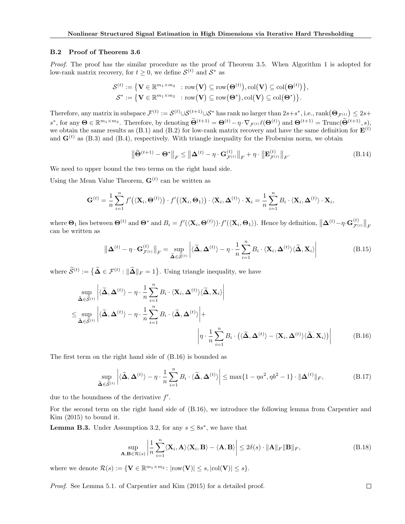## B.2 Proof of Theorem 3.6

Proof. The proof has the similar procedure as the proof of Theorem 3.5. When Algorithm 1 is adopted for low-rank matrix recovery, for  $t \geq 0$ , we define  $\mathcal{S}^{(t)}$  and  $\mathcal{S}^*$  as

$$
\begin{aligned} \mathcal{S}^{(t)} &:= \big\{ \mathbf{V} \in \mathbb{R}^{m_1 \times m_2} \ : \text{row} \big( \mathbf{V} \big) \subseteq \text{row} \big( \boldsymbol{\Theta}^{(t)} \big), \text{col} \big( \mathbf{V} \big) \subseteq \text{col} \big( \boldsymbol{\Theta}^{(t)} \big) \big\}, \\ \mathcal{S}^* &:= \big\{ \mathbf{V} \in \mathbb{R}^{m_1 \times m_2} \ : \text{row} \big( \mathbf{V} \big) \subseteq \text{row} \big( \boldsymbol{\Theta}^* \big), \text{col} \big( \mathbf{V} \big) \subseteq \text{col} \big( \boldsymbol{\Theta}^* \big) \big\}. \end{aligned}
$$

Therefore, any matrix in subspace  $\mathcal{F}^{(t)} := \mathcal{S}^{(t)} \cup \mathcal{S}^{(t+1)} \cup \mathcal{S}^*$  has rank no larger than  $2s+s^*$ , i.e.,  $\text{rank}(\mathbf{\Theta}_{\mathcal{F}^{(t)}}) \leq 2s+$  $s^*$ , for any  $\Theta \in \mathbb{R}^{m_1 \times m_2}$ . Therefore, by denoting  $\widetilde{\Theta}^{(t+1)} = \Theta^{(t)} - \eta \cdot \nabla_{\mathcal{F}^{(t)}} \ell(\Theta^{(t)})$  and  $\Theta^{(t+1)} = \text{Trunc}(\widetilde{\Theta}^{(t+1)}, s)$ , we obtain the same results as (B.1) and (B.2) for low-rank matrix recovery and have the same definition for  $\mathbf{E}^{(t)}$ and  $\mathbf{G}^{(t)}$  as (B.3) and (B.4), respectively. With triangle inequality for the Frobenius norm, we obtain

$$
\left\| \widetilde{\Theta}^{(t+1)} - \Theta^* \right\|_F \le \left\| \Delta^{(t)} - \eta \cdot \mathbf{G}_{\mathcal{F}^{(t)}}^{(t)} \right\|_F + \eta \cdot \left\| \mathbf{E}_{\mathcal{F}^{(t)}}^{(t)} \right\|_F. \tag{B.14}
$$

We need to upper bound the two terms on the right hand side.

Using the Mean Value Theorem,  $\mathbf{G}^{(t)}$  can be written as

$$
\mathbf{G}^{(t)} = \frac{1}{n} \sum_{i=1}^{n} f'(\langle \mathbf{X}_i, \mathbf{\Theta}^{(t)} \rangle) \cdot f'(\langle \mathbf{X}_i, \mathbf{\Theta}_1 \rangle) \cdot \langle \mathbf{X}_i, \mathbf{\Delta}^{(t)} \rangle \cdot \mathbf{X}_i = \frac{1}{n} \sum_{i=1}^{n} B_i \cdot \langle \mathbf{X}_i, \mathbf{\Delta}^{(t)} \rangle \cdot \mathbf{X}_i,
$$

where  $\mathbf{\Theta}_1$  lies between  $\mathbf{\Theta}^{(t)}$  and  $\mathbf{\Theta}^*$  and  $B_i = f'(\langle \mathbf{X}_i, \mathbf{\Theta}^{(t)} \rangle) \cdot f'(\langle \mathbf{X}_i, \mathbf{\Theta}_1 \rangle)$ . Hence by definition,  $\|\mathbf{\Delta}^{(t)} - \eta \cdot \mathbf{G}_{\mathcal{F}^{(t)}}^{(t)}\|$  $\left\Vert \frac{t}{\mathcal{F}^{(t)}}\right\Vert _{F}% \leq\epsilon\Vert _{F}^{(t)}$ can be written as

$$
\left\| \mathbf{\Delta}^{(t)} - \boldsymbol{\eta} \cdot \mathbf{G}_{\mathcal{F}^{(t)}}^{(t)} \right\|_{F} = \sup_{\widetilde{\mathbf{\Delta}} \in \widetilde{\mathcal{S}}^{(t)}} \left| \langle \widetilde{\mathbf{\Delta}}, \mathbf{\Delta}^{(t)} \rangle - \boldsymbol{\eta} \cdot \frac{1}{n} \sum_{i=1}^{n} B_{i} \cdot \langle \mathbf{X}_{i}, \mathbf{\Delta}^{(t)} \rangle \langle \widetilde{\mathbf{\Delta}}, \mathbf{X}_{i} \rangle \right| \tag{B.15}
$$

where  $\widetilde{S}^{(t)} := \{ \widetilde{\Delta} \in \mathcal{F}^{(t)} : ||\widetilde{\Delta}||_F = 1 \}$ . Using triangle inequality, we have

$$
\sup_{\widetilde{\Delta} \in \widetilde{S}^{(t)}} \left| \langle \widetilde{\Delta}, \Delta^{(t)} \rangle - \eta \cdot \frac{1}{n} \sum_{i=1}^{n} B_i \cdot \langle \mathbf{X}_i, \Delta^{(t)} \rangle \langle \widetilde{\Delta}, \mathbf{X}_i \rangle \right|
$$
\n
$$
\leq \sup_{\widetilde{\Delta} \in \widetilde{S}^{(t)}} \left| \langle \widetilde{\Delta}, \Delta^{(t)} \rangle - \eta \cdot \frac{1}{n} \sum_{i=1}^{n} B_i \cdot \langle \widetilde{\Delta}, \Delta^{(t)} \rangle \right| +
$$
\n
$$
\left| \eta \cdot \frac{1}{n} \sum_{i=1}^{n} B_i \cdot \langle \langle \widetilde{\Delta}, \Delta^{(t)} \rangle - \langle \mathbf{X}_i, \Delta^{(t)} \rangle \langle \widetilde{\Delta}, \mathbf{X}_i \rangle \rangle \right| \tag{B.16}
$$

The first term on the right hand side of (B.16) is bounded as

$$
\sup_{\widetilde{\mathbf{\Delta}} \in \widetilde{\mathcal{S}}^{(t)}} \left| \langle \widetilde{\mathbf{\Delta}}, \mathbf{\Delta}^{(t)} \rangle - \eta \cdot \frac{1}{n} \sum_{i=1}^n B_i \cdot \langle \widetilde{\mathbf{\Delta}}, \mathbf{\Delta}^{(t)} \rangle \right| \le \max\{1 - \eta a^2, \eta b^2 - 1\} \cdot \|\mathbf{\Delta}^{(t)}\|_F,
$$
\n(B.17)

due to the boundness of the derivative  $f'$ .

For the second term on the right hand side of (B.16), we introduce the following lemma from Carpentier and Kim (2015) to bound it.

**Lemma B.3.** Under Assumption 3.2, for any  $s \leq 8s^*$ , we have that

$$
\sup_{\mathbf{A}, \mathbf{B} \in \mathcal{R}(s)} \left| \frac{1}{n} \sum_{i=1}^{n} \langle \mathbf{X}_i, \mathbf{A} \rangle \langle \mathbf{X}_i, \mathbf{B} \rangle - \langle \mathbf{A}, \mathbf{B} \rangle \right| \le 2\delta(s) \cdot \|\mathbf{A}\|_F \|\mathbf{B}\|_F,
$$
\n(B.18)

where we denote  $\mathcal{R}(s) := \{ \mathbf{V} \in \mathbb{R}^{m_1 \times m_2} \colon |\text{row}(\mathbf{V})| \leq s, |\text{col}(\mathbf{V})| \leq s \}.$ 

Proof. See Lemma 5.1. of Carpentier and Kim (2015) for a detailed proof.